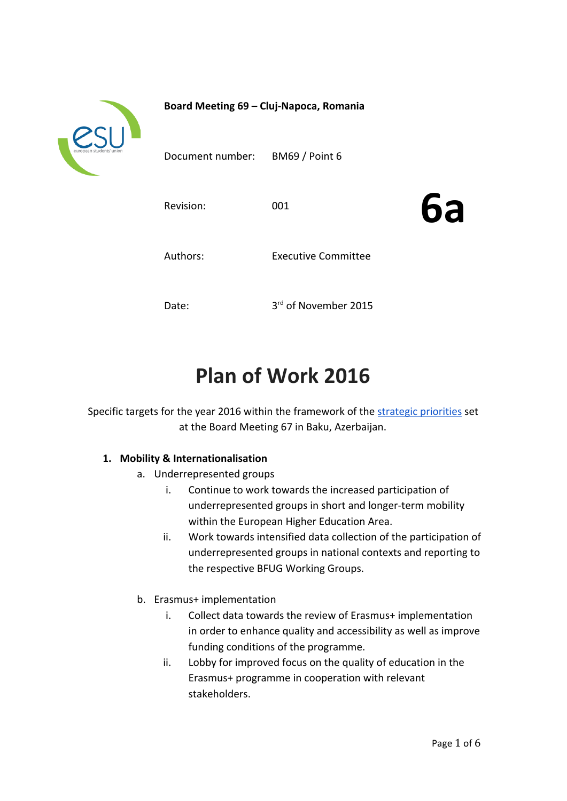

**Board Meeting 69 – Cluj-Napoca, Romania**

Document number: BM69 / Point 6

Revision: 001

**6a**

Authors: Executive Committee

Date:

<sup>rd</sup> of November 2015

# **Plan of Work 2016**

Specific targets for the year 2016 within the framework of the [strategic priorities](https://docs.google.com/document/d/138y6_Q1NCflC0incPdRXpNbuUEX9vD0r0f5YRfbWLbg/edit) set at the Board Meeting 67 in Baku, Azerbaijan.

# **1. Mobility & Internationalisation**

- a. Underrepresented groups
	- i. Continue to work towards the increased participation of underrepresented groups in short and longer-term mobility within the European Higher Education Area.
	- ii. Work towards intensified data collection of the participation of underrepresented groups in national contexts and reporting to the respective BFUG Working Groups.
- b. Erasmus+ implementation
	- i. Collect data towards the review of Erasmus+ implementation in order to enhance quality and accessibility as well as improve funding conditions of the programme.
	- ii. Lobby for improved focus on the quality of education in the Erasmus+ programme in cooperation with relevant stakeholders.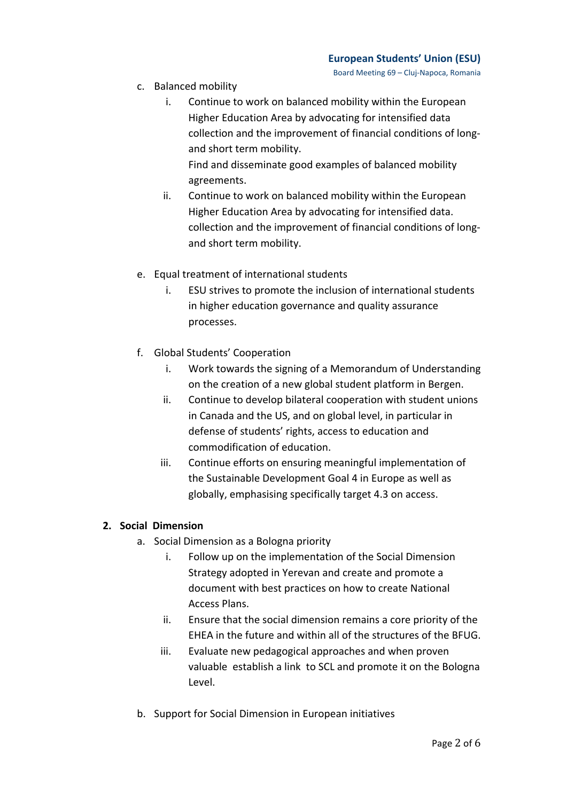Board Meeting 69 – Cluj-Napoca, Romania

- c. Balanced mobility
	- i. Continue to work on balanced mobility within the European Higher Education Area by advocating for intensified data collection and the improvement of financial conditions of longand short term mobility. Find and disseminate good examples of balanced mobility

agreements.

- ii. Continue to work on balanced mobility within the European Higher Education Area by advocating for intensified data. collection and the improvement of financial conditions of longand short term mobility.
- e. Equal treatment of international students
	- i. ESU strives to promote the inclusion of international students in higher education governance and quality assurance processes.
- f. Global Students' Cooperation
	- i. Work towards the signing of a Memorandum of Understanding on the creation of a new global student platform in Bergen.
	- ii. Continue to develop bilateral cooperation with student unions in Canada and the US, and on global level, in particular in defense of students' rights, access to education and commodification of education.
	- iii. Continue efforts on ensuring meaningful implementation of the Sustainable Development Goal 4 in Europe as well as globally, emphasising specifically target 4.3 on access.

# **2. Social Dimension**

- a. Social Dimension as a Bologna priority
	- i. Follow up on the implementation of the Social Dimension Strategy adopted in Yerevan and create and promote a document with best practices on how to create National Access Plans.
	- ii. Ensure that the social dimension remains a core priority of the EHEA in the future and within all of the structures of the BFUG.
	- iii. Evaluate new pedagogical approaches and when proven valuable establish a link to SCL and promote it on the Bologna Level.
- b. Support for Social Dimension in European initiatives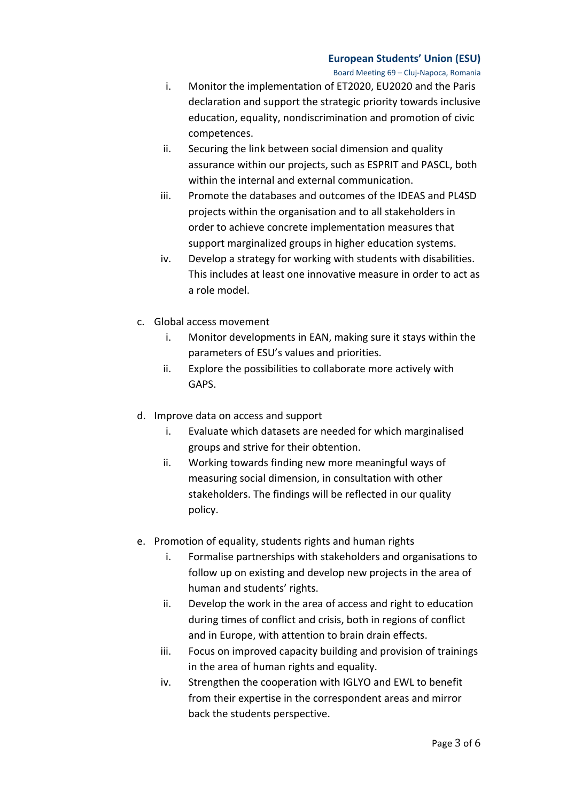#### **European Students' Union (ESU)**

Board Meeting 69 – Cluj-Napoca, Romania

- i. Monitor the implementation of ET2020, EU2020 and the Paris declaration and support the strategic priority towards inclusive education, equality, nondiscrimination and promotion of civic competences.
- ii. Securing the link between social dimension and quality assurance within our projects, such as ESPRIT and PASCL, both within the internal and external communication.
- iii. Promote the databases and outcomes of the IDEAS and PL4SD projects within the organisation and to all stakeholders in order to achieve concrete implementation measures that support marginalized groups in higher education systems.
- iv. Develop a strategy for working with students with disabilities. This includes at least one innovative measure in order to act as a role model.
- c. Global access movement
	- i. Monitor developments in EAN, making sure it stays within the parameters of ESU's values and priorities.
	- ii. Explore the possibilities to collaborate more actively with GAPS.
- d. Improve data on access and support
	- i. Evaluate which datasets are needed for which marginalised groups and strive for their obtention.
	- ii. Working towards finding new more meaningful ways of measuring social dimension, in consultation with other stakeholders. The findings will be reflected in our quality policy.
- e. Promotion of equality, students rights and human rights
	- i. Formalise partnerships with stakeholders and organisations to follow up on existing and develop new projects in the area of human and students' rights.
	- ii. Develop the work in the area of access and right to education during times of conflict and crisis, both in regions of conflict and in Europe, with attention to brain drain effects.
	- iii. Focus on improved capacity building and provision of trainings in the area of human rights and equality.
	- iv. Strengthen the cooperation with IGLYO and EWL to benefit from their expertise in the correspondent areas and mirror back the students perspective.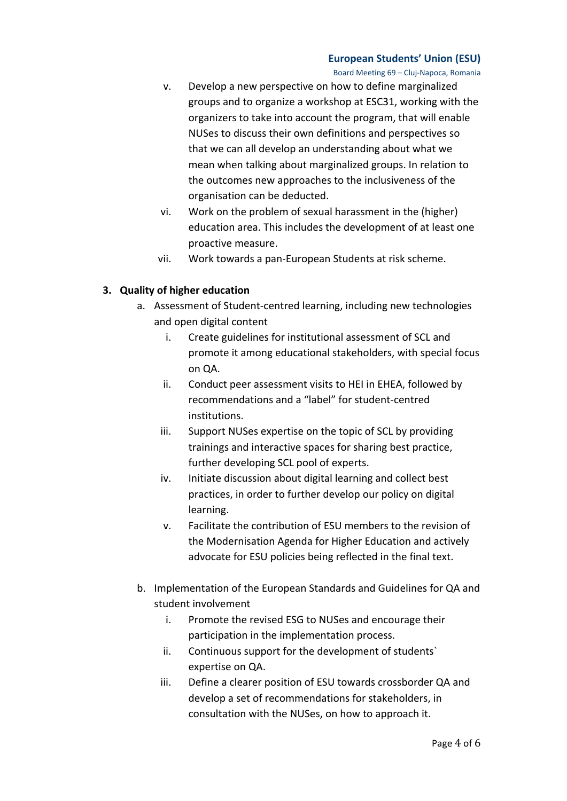#### **European Students' Union (ESU)**

Board Meeting 69 – Cluj-Napoca, Romania

- v. Develop a new perspective on how to define marginalized groups and to organize a workshop at ESC31, working with the organizers to take into account the program, that will enable NUSes to discuss their own definitions and perspectives so that we can all develop an understanding about what we mean when talking about marginalized groups. In relation to the outcomes new approaches to the inclusiveness of the organisation can be deducted.
- vi. Work on the problem of sexual harassment in the (higher) education area. This includes the development of at least one proactive measure.
- vii. Work towards a pan-European Students at risk scheme.

# **3. Quality of higher education**

- a. Assessment of Student-centred learning, including new technologies and open digital content
	- i. Create guidelines for institutional assessment of SCL and promote it among educational stakeholders, with special focus on QA.
	- ii. Conduct peer assessment visits to HEI in EHEA, followed by recommendations and a "label" for student-centred institutions.
	- iii. Support NUSes expertise on the topic of SCL by providing trainings and interactive spaces for sharing best practice, further developing SCL pool of experts.
	- iv. Initiate discussion about digital learning and collect best practices, in order to further develop our policy on digital learning.
	- v. Facilitate the contribution of ESU members to the revision of the Modernisation Agenda for Higher Education and actively advocate for ESU policies being reflected in the final text.
- b. Implementation of the European Standards and Guidelines for QA and student involvement
	- i. Promote the revised ESG to NUSes and encourage their participation in the implementation process.
	- ii. Continuous support for the development of students` expertise on QA.
	- iii. Define a clearer position of ESU towards crossborder QA and develop a set of recommendations for stakeholders, in consultation with the NUSes, on how to approach it.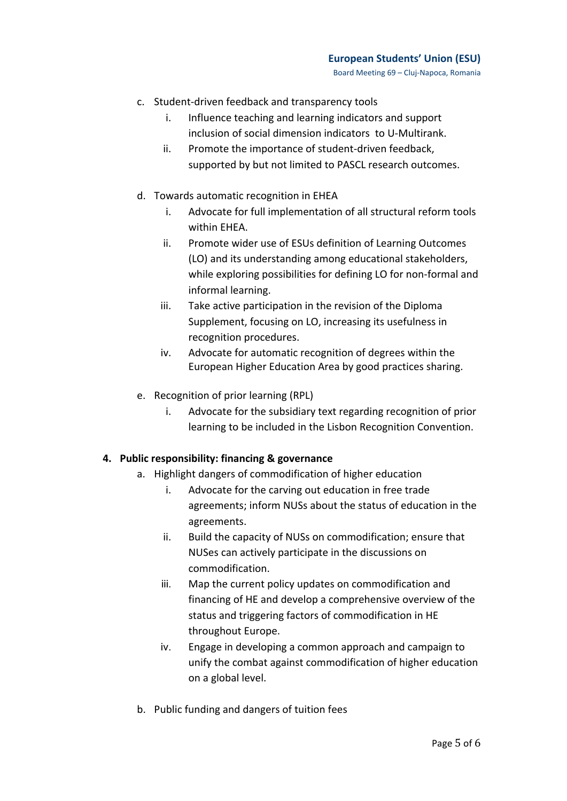- c. Student-driven feedback and transparency tools
	- i. Influence teaching and learning indicators and support inclusion of social dimension indicators to U-Multirank.
	- ii. Promote the importance of student-driven feedback, supported by but not limited to PASCL research outcomes.
- d. Towards automatic recognition in EHEA
	- i. Advocate for full implementation of all structural reform tools within EHEA.
	- ii. Promote wider use of ESUs definition of Learning Outcomes (LO) and its understanding among educational stakeholders, while exploring possibilities for defining LO for non-formal and informal learning.
	- iii. Take active participation in the revision of the Diploma Supplement, focusing on LO, increasing its usefulness in recognition procedures.
	- iv. Advocate for automatic recognition of degrees within the European Higher Education Area by good practices sharing.
- e. Recognition of prior learning (RPL)
	- i. Advocate for the subsidiary text regarding recognition of prior learning to be included in the Lisbon Recognition Convention.

# **4. Public responsibility: financing & governance**

- a. Highlight dangers of commodification of higher education
	- i. Advocate for the carving out education in free trade agreements; inform NUSs about the status of education in the agreements.
	- ii. Build the capacity of NUSs on commodification; ensure that NUSes can actively participate in the discussions on commodification.
	- iii. Map the current policy updates on commodification and financing of HE and develop a comprehensive overview of the status and triggering factors of commodification in HE throughout Europe.
	- iv. Engage in developing a common approach and campaign to unify the combat against commodification of higher education on a global level.
- b. Public funding and dangers of tuition fees